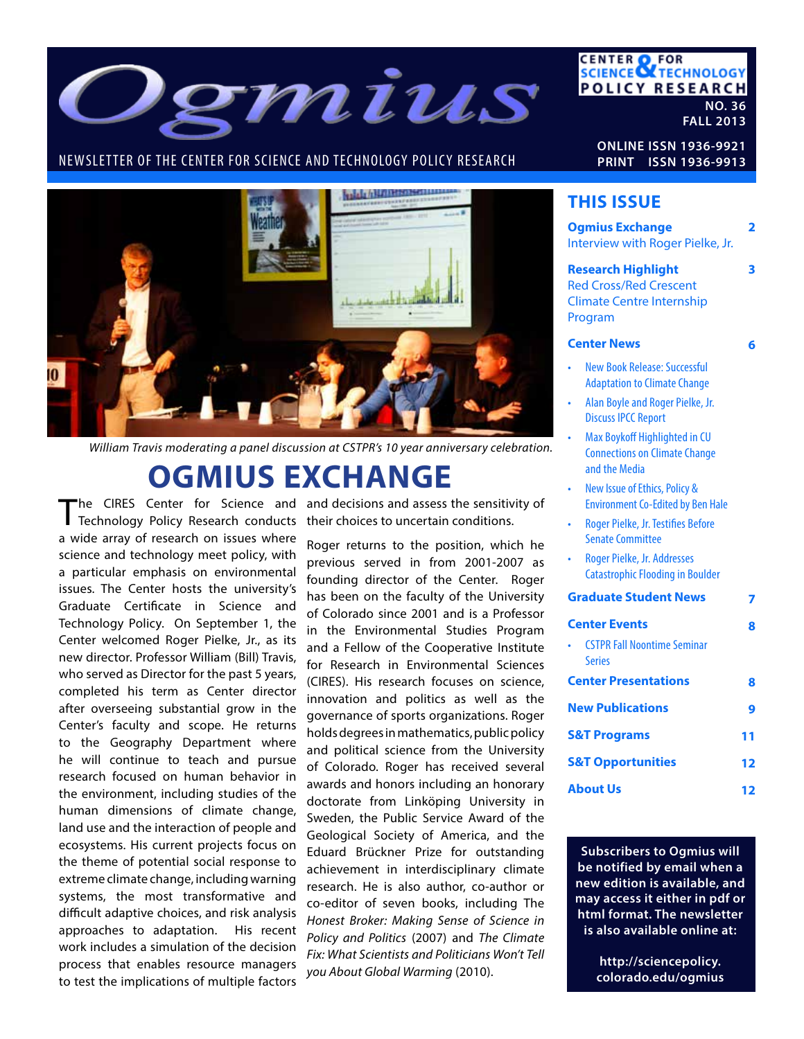

#### NEWSLETTER OF THE CENTER FOR SCIENCE AND TECHNOLOGY POLICY RESEARCH



*William Travis moderating a panel discussion at CSTPR's 10 year anniversary celebration.*

# **OGMIUS EXCHANGE**

The CIRES Center for Science and and decisions and assess the sensitivity of The CIRES Center for Science and and decisions and assess the sensitive Technology Policy Research conducts their choices to uncertain conditions. a wide array of research on issues where science and technology meet policy, with a particular emphasis on environmental issues. The Center hosts the university's Graduate Certificate in Science and Technology Policy. On September 1, the Center welcomed Roger Pielke, Jr., as its new director. Professor William (Bill) Travis, who served as Director for the past 5 years, completed his term as Center director after overseeing substantial grow in the Center's faculty and scope. He returns to the Geography Department where he will continue to teach and pursue research focused on human behavior in the environment, including studies of the human dimensions of climate change, land use and the interaction of people and ecosystems. His current projects focus on the theme of potential social response to extreme climate change, including warning systems, the most transformative and difficult adaptive choices, and risk analysis approaches to adaptation. His recent work includes a simulation of the decision process that enables resource managers to test the implications of multiple factors

Roger returns to the position, which he previous served in from 2001-2007 as founding director of the Center. Roger has been on the faculty of the University of Colorado since 2001 and is a Professor in the Environmental Studies Program and a Fellow of the Cooperative Institute for Research in Environmental Sciences (CIRES). His research focuses on science, innovation and politics as well as the governance of sports organizations. Roger holds degrees in mathematics, public policy and political science from the University of Colorado. Roger has received several awards and honors including an honorary doctorate from Linköping University in Sweden, the Public Service Award of the Geological Society of America, and the Eduard Brückner Prize for outstanding achievement in interdisciplinary climate research. He is also author, co-author or co-editor of seven books, including The *Honest Broker: Making Sense of Science in Policy and Politics* (2007) and *The Climate Fix: What Scientists and Politicians Won't Tell you About Global Warming* (2010).

**ONLINE ISSN 1936-9921 PRINT ISSN 1936-9913**

**CENTER OF FOR<br>SCIENCE OF TECHNOLOGY** 

**POLICY RESEARCH** 

**NO. 36 FALL 2013**

#### **THIS ISSUE**

| <b>Ogmius Exchange</b><br>Interview with Roger Pielke, Jr.                                                                                                                                                            | 2  |
|-----------------------------------------------------------------------------------------------------------------------------------------------------------------------------------------------------------------------|----|
| <b>Research Highlight</b><br><b>Red Cross/Red Crescent</b><br><b>Climate Centre Internship</b><br>Program                                                                                                             | 3  |
| <b>Center News</b>                                                                                                                                                                                                    | 6  |
| <b>New Book Release: Successful</b><br><b>Adaptation to Climate Change</b><br>Alan Boyle and Roger Pielke, Jr.<br><b>Discuss IPCC Report</b><br>Max Boykoff Highlighted in CU<br><b>Connections on Climate Change</b> |    |
| and the Media<br>New Issue of Ethics, Policy &<br><b>Environment Co-Edited by Ben Hale</b>                                                                                                                            |    |
| Roger Pielke, Jr. Testifies Before<br><b>Senate Committee</b>                                                                                                                                                         |    |
| Roger Pielke, Jr. Addresses<br><b>Catastrophic Flooding in Boulder</b>                                                                                                                                                |    |
| <b>Graduate Student News</b>                                                                                                                                                                                          |    |
| <b>Center Events</b><br><b>CSTPR Fall Noontime Seminar</b><br><b>Series</b>                                                                                                                                           | ឧ  |
| <b>Center Presentations</b>                                                                                                                                                                                           | 8  |
| <b>New Publications</b>                                                                                                                                                                                               | 9  |
| <b>S&amp;T Programs</b>                                                                                                                                                                                               | 11 |
| <b>S&amp;T Opportunities</b>                                                                                                                                                                                          | 12 |
| <b>About Us</b>                                                                                                                                                                                                       | 12 |

**Subscribers to Ogmius will be notified by email when a new edition is available, and may access it either in pdf or html format. The newsletter is also available online at:**

> **http://sciencepolicy. colorado.edu/ogmius**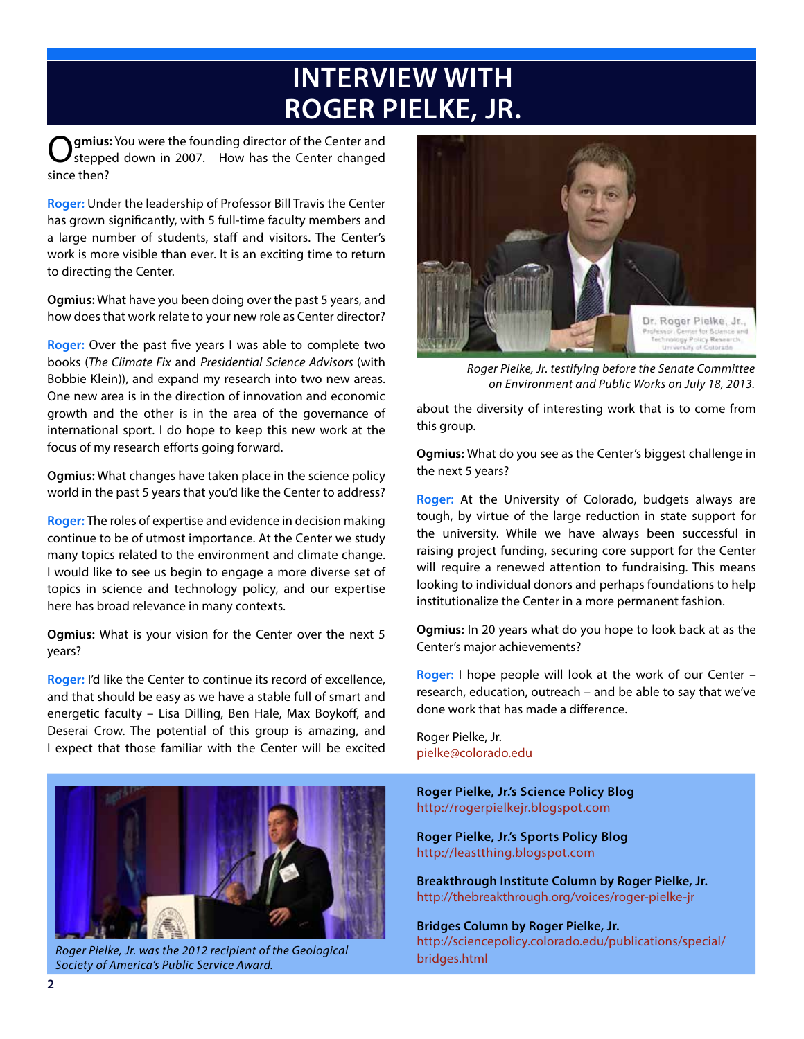# **INTERVIEW WITH ROGER PIELKE, JR.**

**Ogmius:** You were the founding director of the Center and stepped down in 2007. How has the Center changed since then?

**Roger:** Under the leadership of Professor Bill Travis the Center has grown significantly, with 5 full-time faculty members and a large number of students, staff and visitors. The Center's work is more visible than ever. It is an exciting time to return to directing the Center.

**Ogmius:** What have you been doing over the past 5 years, and how does that work relate to your new role as Center director?

**Roger:** Over the past five years I was able to complete two books (*The Climate Fix* and *Presidential Science Advisors* (with Bobbie Klein)), and expand my research into two new areas. One new area is in the direction of innovation and economic growth and the other is in the area of the governance of international sport. I do hope to keep this new work at the focus of my research efforts going forward.

**Ogmius:** What changes have taken place in the science policy world in the past 5 years that you'd like the Center to address?

**Roger:** The roles of expertise and evidence in decision making continue to be of utmost importance. At the Center we study many topics related to the environment and climate change. I would like to see us begin to engage a more diverse set of topics in science and technology policy, and our expertise here has broad relevance in many contexts.

**Ogmius:** What is your vision for the Center over the next 5 years?

**Roger:** I'd like the Center to continue its record of excellence, and that should be easy as we have a stable full of smart and energetic faculty – Lisa Dilling, Ben Hale, Max Boykoff, and Deserai Crow. The potential of this group is amazing, and I expect that those familiar with the Center will be excited



*Roger Pielke, Jr. was the 2012 recipient of the Geological Society of America's Public Service Award.*



*Roger Pielke, Jr. testifying before the Senate Committee on Environment and Public Works on July 18, 2013.*

about the diversity of interesting work that is to come from this group.

**Ogmius:** What do you see as the Center's biggest challenge in the next 5 years?

**Roger:** At the University of Colorado, budgets always are tough, by virtue of the large reduction in state support for the university. While we have always been successful in raising project funding, securing core support for the Center will require a renewed attention to fundraising. This means looking to individual donors and perhaps foundations to help institutionalize the Center in a more permanent fashion.

**Ogmius:** In 20 years what do you hope to look back at as the Center's major achievements?

**Roger:** I hope people will look at the work of our Center – research, education, outreach – and be able to say that we've done work that has made a difference.

Roger Pielke, Jr. pielke@colorado.edu

**Roger Pielke, Jr.'s Science Policy Blog** http://rogerpielkejr.blogspot.com

**Roger Pielke, Jr.'s Sports Policy Blog** http://leastthing.blogspot.com

**Breakthrough Institute Column by Roger Pielke, Jr.** http://thebreakthrough.org/voices/roger-pielke-jr

**Bridges Column by Roger Pielke, Jr.**  http://sciencepolicy.colorado.edu/publications/special/ bridges.html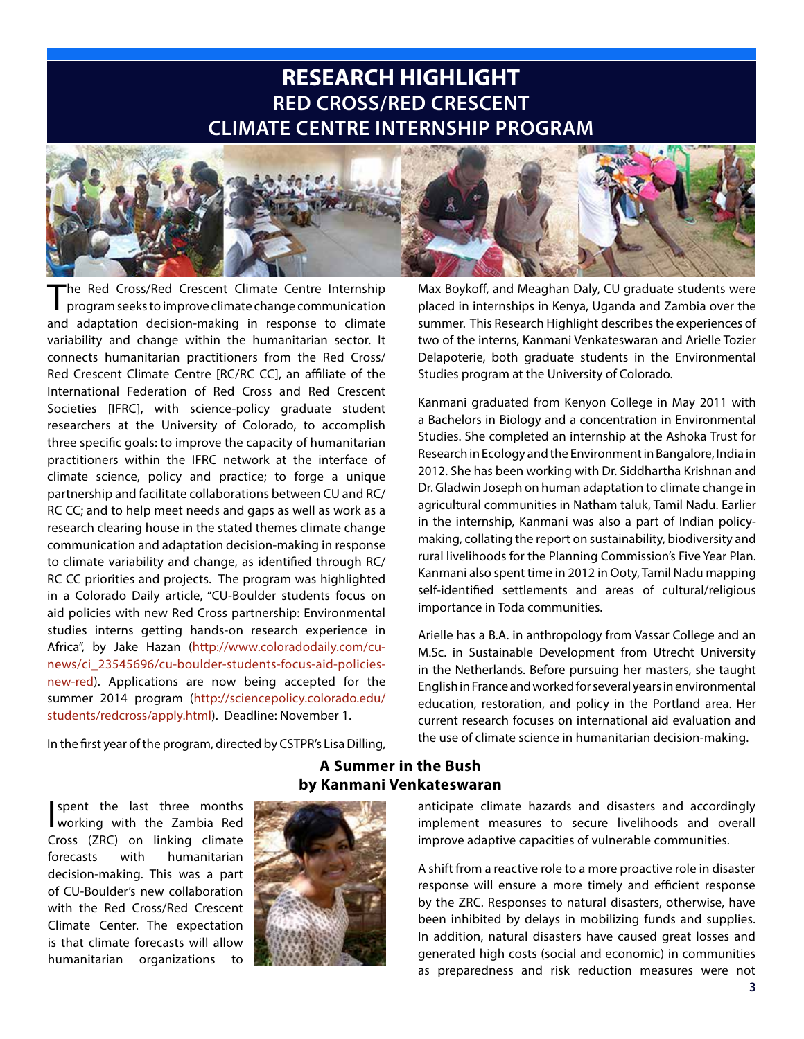### **RESEARCH HIGHLIGHT RED CROSS/RED CRESCENT CLIMATE CENTRE INTERNSHIP PROGRAM**



The Red Cross/Red Crescent Climate Centre Internship program seeks to improve climate change communication and adaptation decision-making in response to climate variability and change within the humanitarian sector. It connects humanitarian practitioners from the Red Cross/ Red Crescent Climate Centre [RC/RC CC], an affiliate of the International Federation of Red Cross and Red Crescent Societies [IFRC], with science-policy graduate student researchers at the University of Colorado, to accomplish three specific goals: to improve the capacity of humanitarian practitioners within the IFRC network at the interface of climate science, policy and practice; to forge a unique partnership and facilitate collaborations between CU and RC/ RC CC; and to help meet needs and gaps as well as work as a research clearing house in the stated themes climate change communication and adaptation decision-making in response to climate variability and change, as identified through RC/ RC CC priorities and projects. The program was highlighted in a Colorado Daily article, "CU-Boulder students focus on aid policies with new Red Cross partnership: Environmental studies interns getting hands-on research experience in Africa", by Jake Hazan (http://www.coloradodaily.com/cunews/ci\_23545696/cu-boulder-students-focus-aid-policiesnew-red). Applications are now being accepted for the summer 2014 program (http://sciencepolicy.colorado.edu/ students/redcross/apply.html). Deadline: November 1.

In the first year of the program, directed by CSTPR's Lisa Dilling,

Max Boykoff, and Meaghan Daly, CU graduate students were placed in internships in Kenya, Uganda and Zambia over the summer. This Research Highlight describes the experiences of two of the interns, Kanmani Venkateswaran and Arielle Tozier Delapoterie, both graduate students in the Environmental Studies program at the University of Colorado.

Kanmani graduated from Kenyon College in May 2011 with a Bachelors in Biology and a concentration in Environmental Studies. She completed an internship at the Ashoka Trust for Research in Ecology and the Environment in Bangalore, India in 2012. She has been working with Dr. Siddhartha Krishnan and Dr. Gladwin Joseph on human adaptation to climate change in agricultural communities in Natham taluk, Tamil Nadu. Earlier in the internship, Kanmani was also a part of Indian policymaking, collating the report on sustainability, biodiversity and rural livelihoods for the Planning Commission's Five Year Plan. Kanmani also spent time in 2012 in Ooty, Tamil Nadu mapping self-identified settlements and areas of cultural/religious importance in Toda communities.

Arielle has a B.A. in anthropology from Vassar College and an M.Sc. in Sustainable Development from Utrecht University in the Netherlands. Before pursuing her masters, she taught English in France and worked for several years in environmental education, restoration, and policy in the Portland area. Her current research focuses on international aid evaluation and the use of climate science in humanitarian decision-making.

I spent the last three months working with the Zambia Red Cross (ZRC) on linking climate forecasts with humanitarian decision-making. This was a part of CU-Boulder's new collaboration with the Red Cross/Red Crescent Climate Center. The expectation is that climate forecasts will allow humanitarian organizations to



#### **A Summer in the Bush by Kanmani Venkateswaran**

anticipate climate hazards and disasters and accordingly implement measures to secure livelihoods and overall improve adaptive capacities of vulnerable communities.

A shift from a reactive role to a more proactive role in disaster response will ensure a more timely and efficient response by the ZRC. Responses to natural disasters, otherwise, have been inhibited by delays in mobilizing funds and supplies. In addition, natural disasters have caused great losses and generated high costs (social and economic) in communities as preparedness and risk reduction measures were not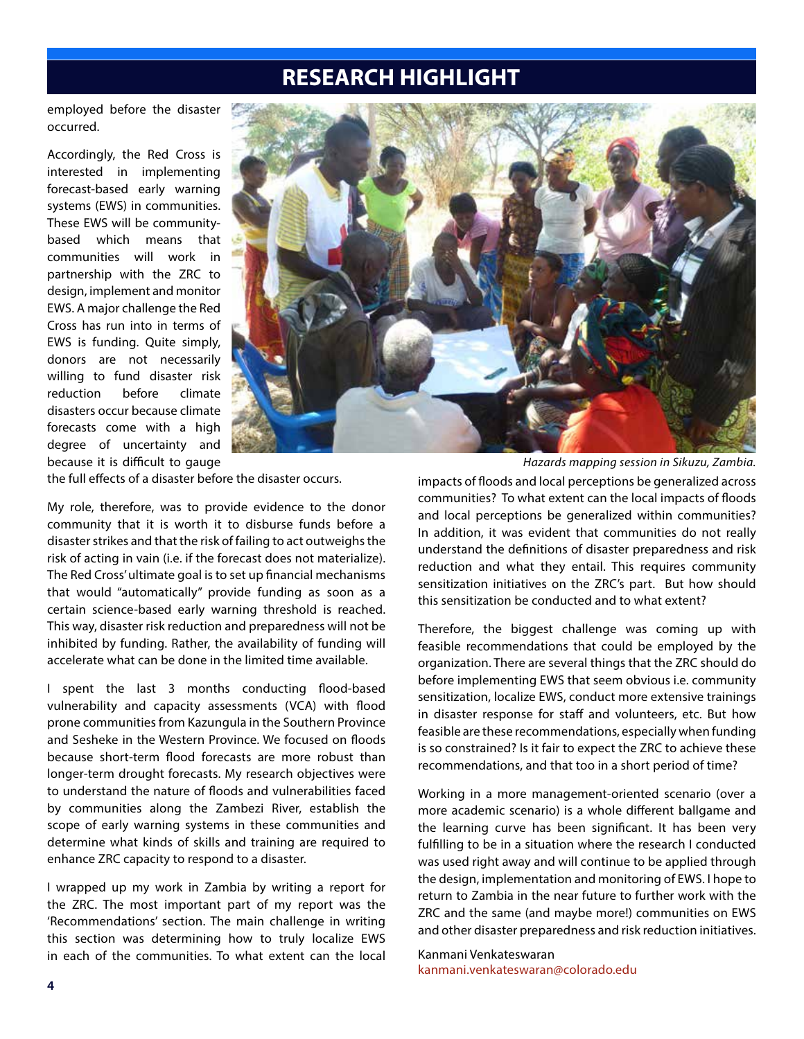### **RESEARCH HIGHLIGHT**

employed before the disaster occurred.

Accordingly, the Red Cross is interested in implementing forecast-based early warning systems (EWS) in communities. These EWS will be communitybased which means that communities will work in partnership with the ZRC to design, implement and monitor EWS. A major challenge the Red Cross has run into in terms of EWS is funding. Quite simply, donors are not necessarily willing to fund disaster risk reduction before climate disasters occur because climate forecasts come with a high degree of uncertainty and because it is difficult to gauge



the full effects of a disaster before the disaster occurs.

My role, therefore, was to provide evidence to the donor community that it is worth it to disburse funds before a disaster strikes and that the risk of failing to act outweighs the risk of acting in vain (i.e. if the forecast does not materialize). The Red Cross' ultimate goal is to set up financial mechanisms that would "automatically" provide funding as soon as a certain science-based early warning threshold is reached. This way, disaster risk reduction and preparedness will not be inhibited by funding. Rather, the availability of funding will accelerate what can be done in the limited time available.

I spent the last 3 months conducting flood-based vulnerability and capacity assessments (VCA) with flood prone communities from Kazungula in the Southern Province and Sesheke in the Western Province. We focused on floods because short-term flood forecasts are more robust than longer-term drought forecasts. My research objectives were to understand the nature of floods and vulnerabilities faced by communities along the Zambezi River, establish the scope of early warning systems in these communities and determine what kinds of skills and training are required to enhance ZRC capacity to respond to a disaster.

I wrapped up my work in Zambia by writing a report for the ZRC. The most important part of my report was the 'Recommendations' section. The main challenge in writing this section was determining how to truly localize EWS in each of the communities. To what extent can the local

*Hazards mapping session in Sikuzu, Zambia.*

impacts of floods and local perceptions be generalized across communities? To what extent can the local impacts of floods and local perceptions be generalized within communities? In addition, it was evident that communities do not really understand the definitions of disaster preparedness and risk reduction and what they entail. This requires community sensitization initiatives on the ZRC's part. But how should this sensitization be conducted and to what extent?

Therefore, the biggest challenge was coming up with feasible recommendations that could be employed by the organization. There are several things that the ZRC should do before implementing EWS that seem obvious i.e. community sensitization, localize EWS, conduct more extensive trainings in disaster response for staff and volunteers, etc. But how feasible are these recommendations, especially when funding is so constrained? Is it fair to expect the ZRC to achieve these recommendations, and that too in a short period of time?

Working in a more management-oriented scenario (over a more academic scenario) is a whole different ballgame and the learning curve has been significant. It has been very fulfilling to be in a situation where the research I conducted was used right away and will continue to be applied through the design, implementation and monitoring of EWS. I hope to return to Zambia in the near future to further work with the ZRC and the same (and maybe more!) communities on EWS and other disaster preparedness and risk reduction initiatives.

Kanmani Venkateswaran kanmani.venkateswaran@colorado.edu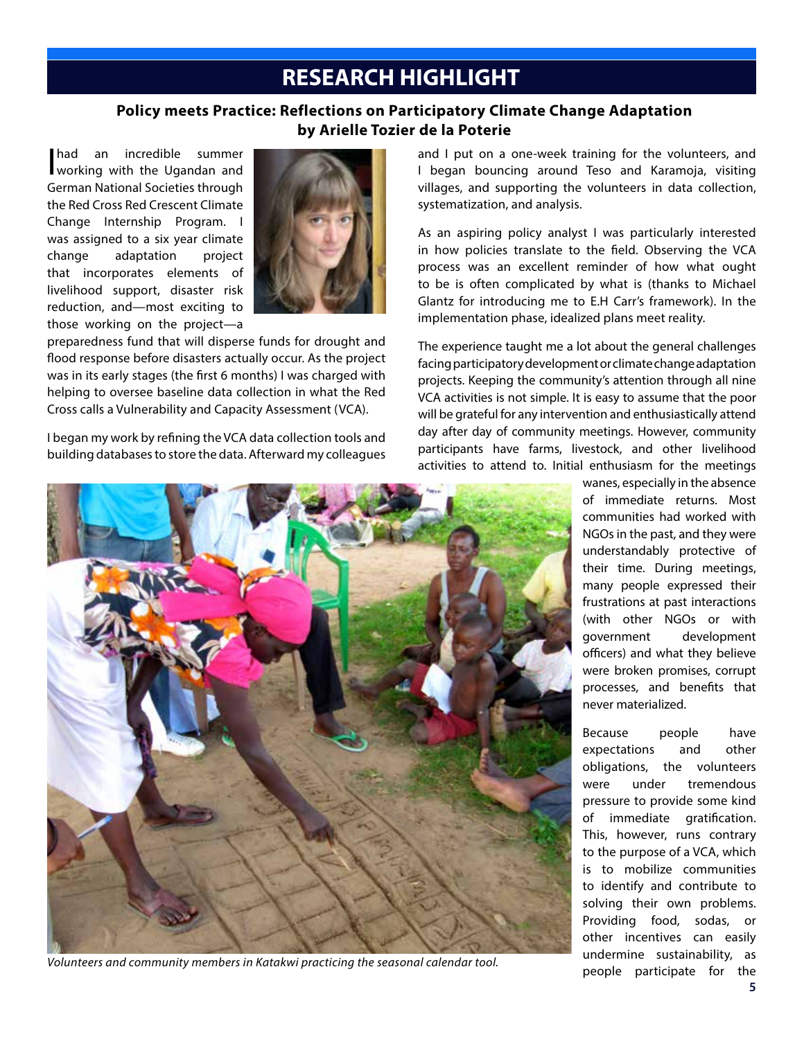### **RESEARCH HIGHLIGHT**

#### **Policy meets Practice: Reflections on Participatory Climate Change Adaptation by Arielle Tozier de la Poterie**

had an incredible summer<br>working with the Ugandan and German National Societies through the Red Cross Red Crescent Climate Change Internship Program. I was assigned to a six year climate change adaptation project that incorporates elements of livelihood support, disaster risk reduction, and—most exciting to those working on the project—a



preparedness fund that will disperse funds for drought and flood response before disasters actually occur. As the project was in its early stages (the first 6 months) I was charged with helping to oversee baseline data collection in what the Red Cross calls a Vulnerability and Capacity Assessment (VCA).

I began my work by refining the VCA data collection tools and building databases to store the data. Afterward my colleagues and I put on a one-week training for the volunteers, and I began bouncing around Teso and Karamoja, visiting villages, and supporting the volunteers in data collection, systematization, and analysis.

As an aspiring policy analyst I was particularly interested in how policies translate to the field. Observing the VCA process was an excellent reminder of how what ought to be is often complicated by what is (thanks to Michael Glantz for introducing me to E.H Carr's framework). In the implementation phase, idealized plans meet reality.

The experience taught me a lot about the general challenges facing participatory development or climate change adaptation projects. Keeping the community's attention through all nine VCA activities is not simple. It is easy to assume that the poor will be grateful for any intervention and enthusiastically attend day after day of community meetings. However, community participants have farms, livestock, and other livelihood activities to attend to. Initial enthusiasm for the meetings



*Volunteers and community members in Katakwi practicing the seasonal calendar tool.*

wanes, especially in the absence of immediate returns. Most communities had worked with NGOs in the past, and they were understandably protective of their time. During meetings, many people expressed their frustrations at past interactions (with other NGOs or with government development officers) and what they believe were broken promises, corrupt processes, and benefits that never materialized.

Because people have expectations and other obligations, the volunteers were under tremendous pressure to provide some kind of immediate gratification. This, however, runs contrary to the purpose of a VCA, which is to mobilize communities to identify and contribute to solving their own problems. Providing food, sodas, or other incentives can easily undermine sustainability, as people participate for the **5**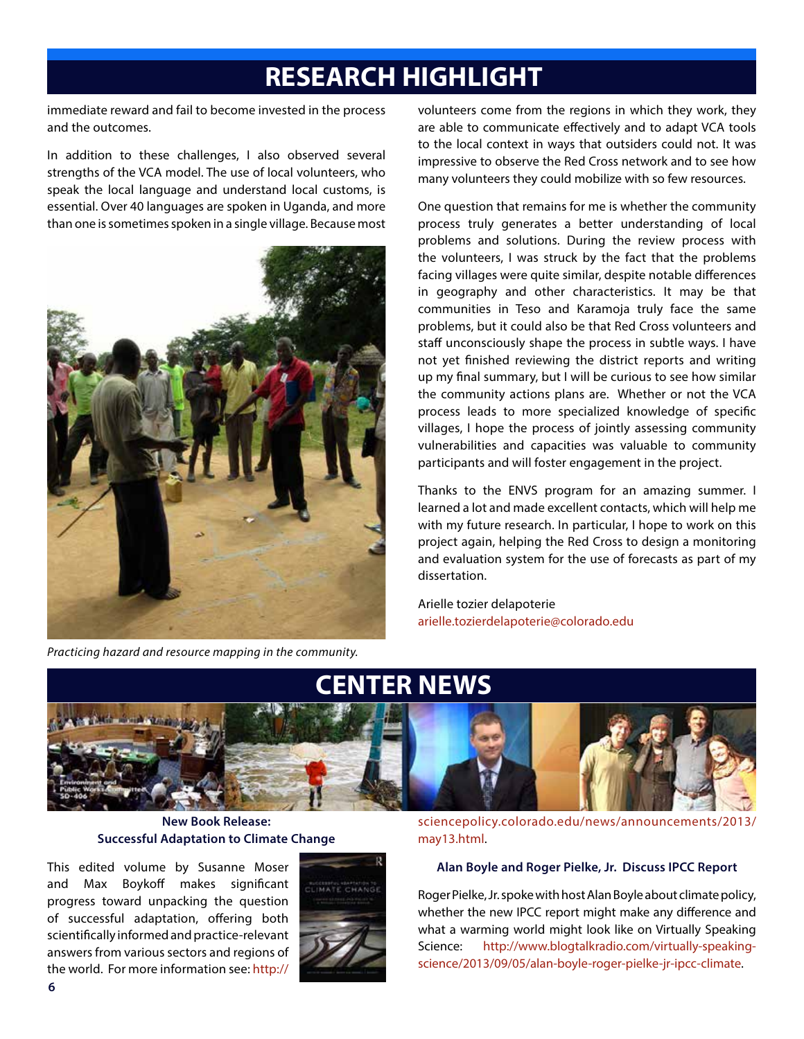# **RESEARCH HIGHLIGHT**

immediate reward and fail to become invested in the process and the outcomes.

In addition to these challenges, I also observed several strengths of the VCA model. The use of local volunteers, who speak the local language and understand local customs, is essential. Over 40 languages are spoken in Uganda, and more than one is sometimes spoken in a single village. Because most



*Practicing hazard and resource mapping in the community.*

volunteers come from the regions in which they work, they are able to communicate effectively and to adapt VCA tools to the local context in ways that outsiders could not. It was impressive to observe the Red Cross network and to see how many volunteers they could mobilize with so few resources.

One question that remains for me is whether the community process truly generates a better understanding of local problems and solutions. During the review process with the volunteers, I was struck by the fact that the problems facing villages were quite similar, despite notable differences in geography and other characteristics. It may be that communities in Teso and Karamoja truly face the same problems, but it could also be that Red Cross volunteers and staff unconsciously shape the process in subtle ways. I have not yet finished reviewing the district reports and writing up my final summary, but I will be curious to see how similar the community actions plans are. Whether or not the VCA process leads to more specialized knowledge of specific villages, I hope the process of jointly assessing community vulnerabilities and capacities was valuable to community participants and will foster engagement in the project.

Thanks to the ENVS program for an amazing summer. I learned a lot and made excellent contacts, which will help me with my future research. In particular, I hope to work on this project again, helping the Red Cross to design a monitoring and evaluation system for the use of forecasts as part of my dissertation.

Arielle tozier delapoterie arielle.tozierdelapoterie@colorado.edu



**New Book Release: Successful Adaptation to Climate Change**

This edited volume by Susanne Moser and Max Boykoff makes significant progress toward unpacking the question of successful adaptation, offering both scientifically informed and practice-relevant answers from various sectors and regions of the world. For more information see: http://



sciencepolicy.colorado.edu/news/announcements/2013/ may13.html.

#### **Alan Boyle and Roger Pielke, Jr. Discuss IPCC Report**

Roger Pielke, Jr. spoke with host Alan Boyle about climate policy, whether the new IPCC report might make any difference and what a warming world might look like on Virtually Speaking Science: http://www.blogtalkradio.com/virtually-speakingscience/2013/09/05/alan-boyle-roger-pielke-jr-ipcc-climate.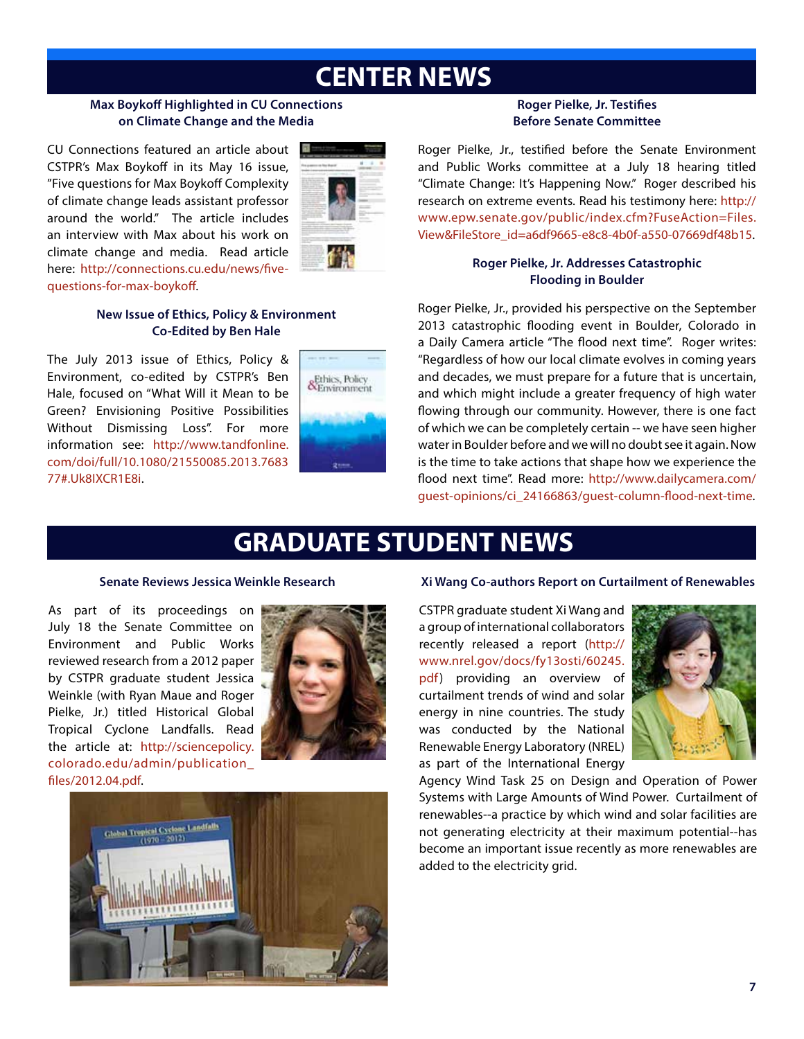# **CENTER NEWS**

#### **Max Boykoff Highlighted in CU Connections on Climate Change and the Media**

CU Connections featured an article about CSTPR's Max Boykoff in its May 16 issue, "Five questions for Max Boykoff Complexity of climate change leads assistant professor around the world." The article includes an interview with Max about his work on climate change and media. Read article here: http://connections.cu.edu/news/fivequestions-for-max-boykoff.



#### **New Issue of Ethics, Policy & Environment Co-Edited by Ben Hale**

The July 2013 issue of Ethics, Policy & Environment, co-edited by CSTPR's Ben Hale, focused on "What Will it Mean to be Green? Envisioning Positive Possibilities Without Dismissing Loss". For more information see: http://www.tandfonline. com/doi/full/10.1080/21550085.2013.7683 77#.Uk8IXCR1E8i.



#### **Roger Pielke, Jr. Testifies Before Senate Committee**

Roger Pielke, Jr., testified before the Senate Environment and Public Works committee at a July 18 hearing titled "Climate Change: It's Happening Now." Roger described his research on extreme events. Read his testimony here: http:// www.epw.senate.gov/public/index.cfm?FuseAction=Files. View&FileStore\_id=a6df9665-e8c8-4b0f-a550-07669df48b15.

#### **Roger Pielke, Jr. Addresses Catastrophic Flooding in Boulder**

Roger Pielke, Jr., provided his perspective on the September 2013 catastrophic flooding event in Boulder, Colorado in a Daily Camera article "The flood next time". Roger writes: "Regardless of how our local climate evolves in coming years and decades, we must prepare for a future that is uncertain, and which might include a greater frequency of high water flowing through our community. However, there is one fact of which we can be completely certain -- we have seen higher water in Boulder before and we will no doubt see it again. Now is the time to take actions that shape how we experience the flood next time". Read more: http://www.dailycamera.com/ guest-opinions/ci\_24166863/guest-column-flood-next-time.

# **GRADUATE STUDENT NEWS**

#### **Senate Reviews Jessica Weinkle Research**

As part of its proceedings on July 18 the Senate Committee on Environment and Public Works reviewed research from a 2012 paper by CSTPR graduate student Jessica Weinkle (with Ryan Maue and Roger Pielke, Jr.) titled Historical Global Tropical Cyclone Landfalls. Read the article at: http://sciencepolicy. colorado.edu/admin/publication\_ files/2012.04.pdf.





#### **Xi Wang Co-authors Report on Curtailment of Renewables**

CSTPR graduate student Xi Wang and a group of international collaborators recently released a report (http:// www.nrel.gov/docs/fy13osti/60245. pdf) providing an overview of curtailment trends of wind and solar energy in nine countries. The study was conducted by the National Renewable Energy Laboratory (NREL) as part of the International Energy



Agency Wind Task 25 on Design and Operation of Power Systems with Large Amounts of Wind Power. Curtailment of renewables--a practice by which wind and solar facilities are not generating electricity at their maximum potential--has become an important issue recently as more renewables are added to the electricity grid.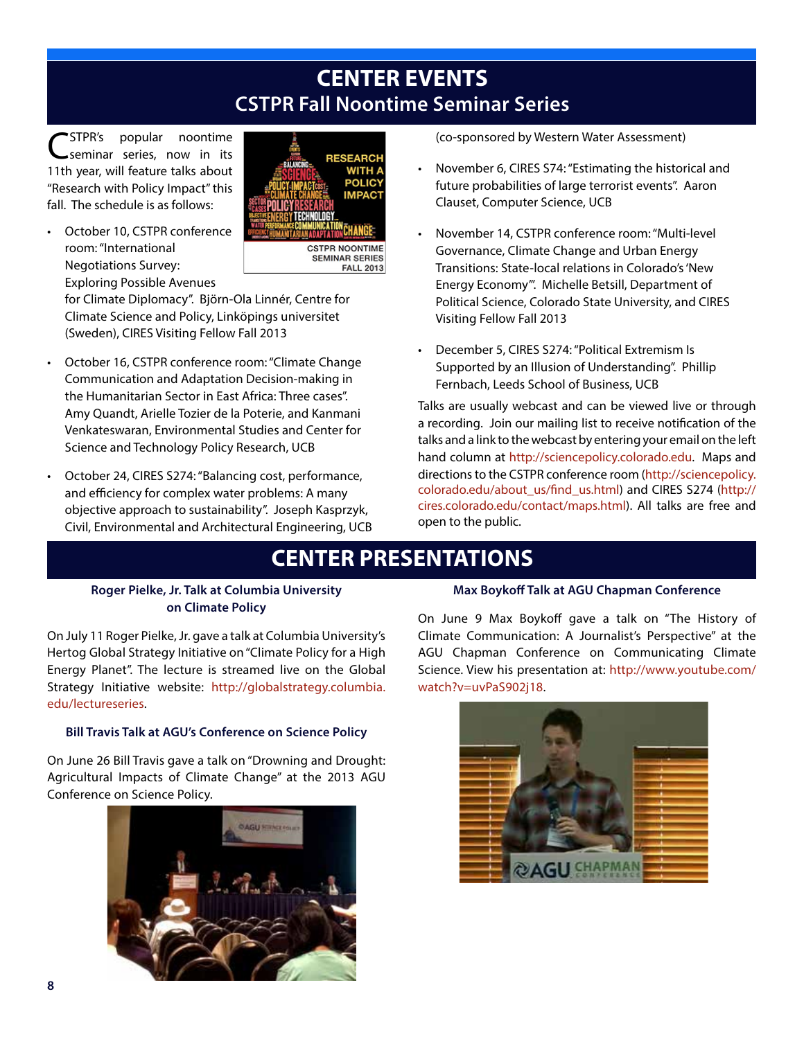### **CENTER EVENTS CSTPR Fall Noontime Seminar Series**

CSTPR's popular noontime seminar series, now in its 11th year, will feature talks about "Research with Policy Impact" this fall. The schedule is as follows:





for Climate Diplomacy". Björn-Ola Linnér, Centre for Climate Science and Policy, Linköpings universitet (Sweden), CIRES Visiting Fellow Fall 2013

- October 16, CSTPR conference room: "Climate Change Communication and Adaptation Decision-making in the Humanitarian Sector in East Africa: Three cases". Amy Quandt, Arielle Tozier de la Poterie, and Kanmani Venkateswaran, Environmental Studies and Center for Science and Technology Policy Research, UCB
- October 24, CIRES S274: "Balancing cost, performance, and efficiency for complex water problems: A many objective approach to sustainability". Joseph Kasprzyk, Civil, Environmental and Architectural Engineering, UCB

(co-sponsored by Western Water Assessment)

- November 6, CIRES S74: "Estimating the historical and future probabilities of large terrorist events". Aaron Clauset, Computer Science, UCB
- November 14, CSTPR conference room: "Multi-level Governance, Climate Change and Urban Energy Transitions: State-local relations in Colorado's 'New Energy Economy'". Michelle Betsill, Department of Political Science, Colorado State University, and CIRES Visiting Fellow Fall 2013
- December 5, CIRES S274: "Political Extremism Is Supported by an Illusion of Understanding". Phillip Fernbach, Leeds School of Business, UCB

Talks are usually webcast and can be viewed live or through a recording. Join our mailing list to receive notification of the talks and a link to the webcast by entering your email on the left hand column at http://sciencepolicy.colorado.edu. Maps and directions to the CSTPR conference room (http://sciencepolicy. colorado.edu/about\_us/find\_us.html) and CIRES S274 (http:// cires.colorado.edu/contact/maps.html). All talks are free and open to the public.

## **CENTER PRESENTATIONS**

#### **Roger Pielke, Jr. Talk at Columbia University on Climate Policy**

On July 11 Roger Pielke, Jr. gave a talk at Columbia University's Hertog Global Strategy Initiative on "Climate Policy for a High Energy Planet". The lecture is streamed live on the Global Strategy Initiative website: http://globalstrategy.columbia. edu/lectureseries.

#### **Bill Travis Talk at AGU's Conference on Science Policy**

On June 26 Bill Travis gave a talk on "Drowning and Drought: Agricultural Impacts of Climate Change" at the 2013 AGU Conference on Science Policy.



#### **Max Boykoff Talk at AGU Chapman Conference**

On June 9 Max Boykoff gave a talk on "The History of Climate Communication: A Journalist's Perspective" at the AGU Chapman Conference on Communicating Climate Science. View his presentation at: http://www.youtube.com/ watch?v=uvPaS902j18.

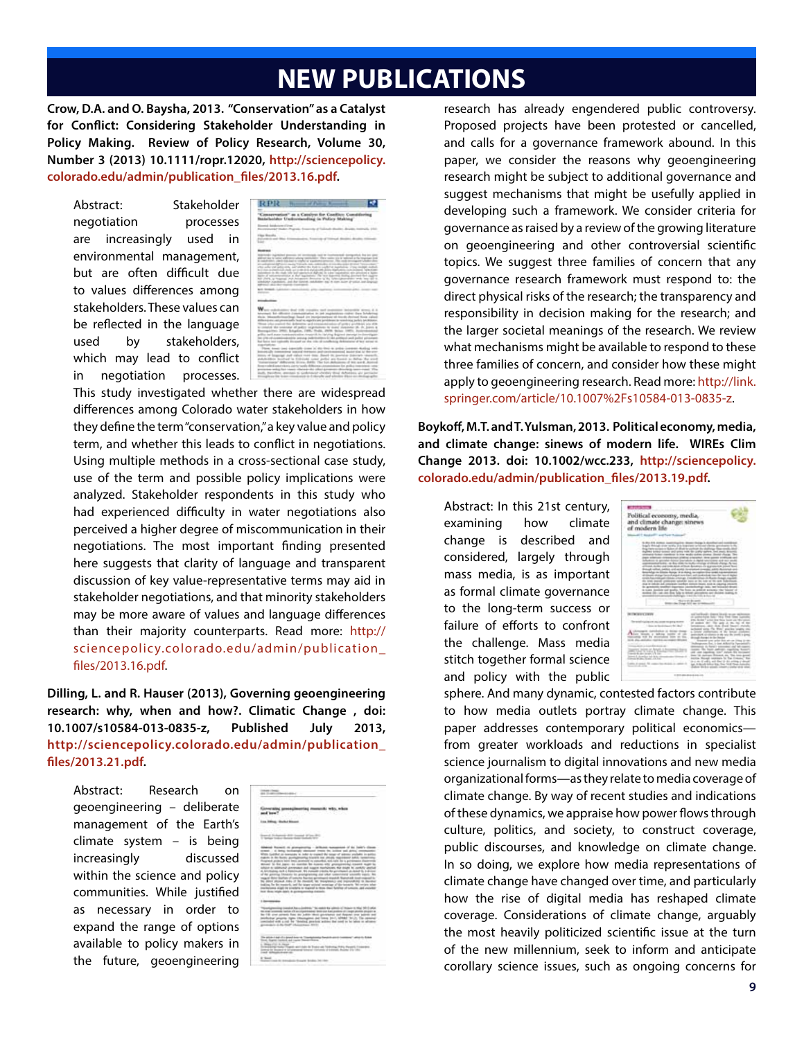## **NEW PUBLICATIONS**

**Crow, D.A. and O. Baysha, 2013. "Conservation" as a Catalyst for Conflict: Considering Stakeholder Understanding in Policy Making. Review of Policy Research, Volume 30, Number 3 (2013) 10.1111/ropr.12020, http://sciencepolicy. colorado.edu/admin/publication\_files/2013.16.pdf.**

Abstract: Stakeholder negotiation processes are increasingly used in environmental management, but are often difficult due to values differences among stakeholders. These values can be reflected in the language used by stakeholders, which may lead to conflict in negotiation processes.

| RPR.                                                                                                                                                                                                                                                                                                                                                                                                              |                             |                                    | <b>By comme of Parkers' Research &amp;</b>  |                |  |
|-------------------------------------------------------------------------------------------------------------------------------------------------------------------------------------------------------------------------------------------------------------------------------------------------------------------------------------------------------------------------------------------------------------------|-----------------------------|------------------------------------|---------------------------------------------|----------------|--|
|                                                                                                                                                                                                                                                                                                                                                                                                                   |                             |                                    |                                             |                |  |
| lenservation" as a Candyss for Conflict: Constituting<br>stelleddyr Undorstanding in Policy Stating'                                                                                                                                                                                                                                                                                                              |                             |                                    |                                             |                |  |
| lineside detailedures of trees."<br><b>Business C State - Park</b>                                                                                                                                                                                                                                                                                                                                                |                             |                                    |                                             |                |  |
| between and dies dramationing.<br><b>CONTRACTOR</b>                                                                                                                                                                                                                                                                                                                                                               |                             |                                    |                                             |                |  |
| <b><i><u>SHIPPERS</u></i></b>                                                                                                                                                                                                                                                                                                                                                                                     |                             |                                    | The product that the control of the product |                |  |
| Bibliother current pressure on premised last at contemporal domainable bis con contr<br>although the to lattice address or adverty contribution. They come gas to reduced as the registant limit.<br>is constructive, class into analysis completing equations are excess. He contributions challenging into<br>are additioned for field to six "Officers and constitutes at the data didn't product encounters." |                             |                                    |                                             |                |  |
| chair adar and adalah aire alathat the bath is subhit at buschelose. It say nodak sindisal-<br>in China in Martinial challs and close and analyzions allow implicants, in a subseque happening is<br>admitted in the right will specialize Applies, in some experience and previous a light-                                                                                                                      |                             |                                    |                                             |                |  |
| back of an excessions at that was been the work boards fields the real fact that a<br>and clock, as beganned with becomes described by the collection of the two states are all in-<br>scholars customers, and the timent, established and it came alone of solice and degrade                                                                                                                                    |                             |                                    |                                             |                |  |
| and though a distance conductional after constraints postcomers which constructed<br>mental control of the control of<br>.                                                                                                                                                                                                                                                                                        | <b>Second Second Second</b> |                                    | ----                                        | <b>COMPANY</b> |  |
| --                                                                                                                                                                                                                                                                                                                                                                                                                |                             |                                    |                                             |                |  |
| and such designed deal with consider that measures includible street, & &                                                                                                                                                                                                                                                                                                                                         |                             | THE R. P. LEWIS CO., LANSING MICH. |                                             |                |  |
| plument for different construction in our superstress colors then bridering<br>their Manufactureless hand in incolarmation of hireda derivat have called                                                                                                                                                                                                                                                          |                             |                                    |                                             |                |  |
| difference and processibly bear to experience problems to word reached between.<br>from one council the defensive and communication of grids ( problems are allied                                                                                                                                                                                                                                                |                             |                                    |                                             |                |  |
| to child the sourcest of public experiences to make incomes (A. D. Joans &<br>Bernachten 2001, Education, 1986; Fields, 2008, Belge, 1987), Automobilist                                                                                                                                                                                                                                                          |                             |                                    |                                             |                |  |
| prifics and more commerciation coupoids to including degreed incomplete democracies<br>the site of communication are not transition and communications and                                                                                                                                                                                                                                                        |                             |                                    |                                             |                |  |
| but here we repliedly division on the ride of conditional debitories of her street of<br>constitutions:                                                                                                                                                                                                                                                                                                           |                             |                                    |                                             |                |  |
| Then been used apartish class in the first in policy constant dealing with<br>ences oft to ack may become trace that countries and consent about the de-                                                                                                                                                                                                                                                          |                             |                                    |                                             |                |  |
| issue of biograph and values man man. Sends its previous distribute insensity.<br>adultation incollect in Editions noted police are formed to define the stori-                                                                                                                                                                                                                                                   |                             |                                    |                                             |                |  |
| twinnings Afficers (Eng. 645). The tot Adulton: if his and Asicul-<br>ference code displays where a control with children as a requested over the product responses to one                                                                                                                                                                                                                                        |                             |                                    |                                             |                |  |
| crimine weighter rance change its often growner detectory near-rance if the<br>auto twenty awaren to polyment shorter than debaters are perioder.                                                                                                                                                                                                                                                                 |                             |                                    |                                             |                |  |
|                                                                                                                                                                                                                                                                                                                                                                                                                   |                             |                                    |                                             |                |  |

This study investigated whether there are widespread differences among Colorado water stakeholders in how they define the term "conservation," a key value and policy term, and whether this leads to conflict in negotiations. Using multiple methods in a cross-sectional case study, use of the term and possible policy implications were analyzed. Stakeholder respondents in this study who had experienced difficulty in water negotiations also perceived a higher degree of miscommunication in their negotiations. The most important finding presented here suggests that clarity of language and transparent discussion of key value-representative terms may aid in stakeholder negotiations, and that minority stakeholders may be more aware of values and language differences than their majority counterparts. Read more: http:// sciencepolicy.colorado.edu/admin/publication\_ files/2013.16.pdf.

**Dilling, L. and R. Hauser (2013), Governing geoengineering research: why, when and how?. Climatic Change , doi: 10.1007/s10584-013-0835-z, Published July 2013, http://sciencepolicy.colorado.edu/admin/publication\_ files/2013.21.pdf.**

Abstract: Research on geoengineering – deliberate management of the Earth's climate system – is being increasingly discussed within the science and policy communities. While justified as necessary in order to expand the range of options available to policy makers in the future, geoengineering

|                  | 133 S.W                                                                                                                                                                                                                                                                                                                                                                                                                                                                                                                                                                                                                                                                                                                                                                                                                                                                                                                                                                                                                                                                                                                                                                                                                     |
|------------------|-----------------------------------------------------------------------------------------------------------------------------------------------------------------------------------------------------------------------------------------------------------------------------------------------------------------------------------------------------------------------------------------------------------------------------------------------------------------------------------------------------------------------------------------------------------------------------------------------------------------------------------------------------------------------------------------------------------------------------------------------------------------------------------------------------------------------------------------------------------------------------------------------------------------------------------------------------------------------------------------------------------------------------------------------------------------------------------------------------------------------------------------------------------------------------------------------------------------------------|
|                  |                                                                                                                                                                                                                                                                                                                                                                                                                                                                                                                                                                                                                                                                                                                                                                                                                                                                                                                                                                                                                                                                                                                                                                                                                             |
|                  |                                                                                                                                                                                                                                                                                                                                                                                                                                                                                                                                                                                                                                                                                                                                                                                                                                                                                                                                                                                                                                                                                                                                                                                                                             |
|                  | Admiral Rockvill in promptrating - Milliand management of the Josefy Classes.<br>Armed - In Artisa formatorally admirated Press the Archive and Artisa computation<br>While Guided as hornolds in Judar to council the tenar of adminstrated to police<br>makers in the facety postaginanties found in article, map interest and/o. successing<br>Progresh projects been lower promised to concelled, and rade day to printers and depression<br>Wrist to be pain to contacts be lower sty prospecial count man to<br>added to statural promotes and superintential marketing to restrict and/or<br>A Architecture multi-L Editorization. Nic customer criterials, for governments at denset to individual<br>of the generical Extensio for programming and other commitment successful tapels. Not<br>regard does builten of princip harms arrestment standall. Superior is not expect to<br>the planet playing and the constant for the resignation and insurance in decoration<br>indica, he by restori, sel by topy stress working of throwings. We retar share<br>institutions stagi in credit's in thereof is those deal faither of unitary, and excelled<br>from three might date). In go responsing challents.<br>w |
| 1. Bernstein and | $\sim$<br><b>I Control</b>                                                                                                                                                                                                                                                                                                                                                                                                                                                                                                                                                                                                                                                                                                                                                                                                                                                                                                                                                                                                                                                                                                                                                                                                  |
|                  | This edition responsible for a preference of the settlet for subject to the part of the part of the<br>the mail comments hands off you intent former them and hands and in longer provides and are<br>by 18 year around floor the auto- their governmen and flooree over assess and<br>politicity practs now changing out here (41), after first the seni-<br>continued with a right by "dending province waters that cond to be infect or advance-<br>promoters in the first? (Associated 2211)<br>THE CITY IS IN COLUMN                                                                                                                                                                                                                                                                                                                                                                                                                                                                                                                                                                                                                                                                                                   |
|                  | the state 1 kg at a post force in The State Text<br>1. Welco of UP 19, 196391<br>Driversident Sales Trappic and Lake & Shake all Torking, Staty Streets, Color<br>lower or leased 4 branquest tonest Corona a capacity from 19 (A).<br>track defined to                                                                                                                                                                                                                                                                                                                                                                                                                                                                                                                                                                                                                                                                                                                                                                                                                                                                                                                                                                     |
| <b>B</b> Street  | at the policies for party for doctors. The com-                                                                                                                                                                                                                                                                                                                                                                                                                                                                                                                                                                                                                                                                                                                                                                                                                                                                                                                                                                                                                                                                                                                                                                             |

research has already engendered public controversy. Proposed projects have been protested or cancelled, and calls for a governance framework abound. In this paper, we consider the reasons why geoengineering research might be subject to additional governance and suggest mechanisms that might be usefully applied in developing such a framework. We consider criteria for governance as raised by a review of the growing literature on geoengineering and other controversial scientific topics. We suggest three families of concern that any governance research framework must respond to: the direct physical risks of the research; the transparency and responsibility in decision making for the research; and the larger societal meanings of the research. We review what mechanisms might be available to respond to these three families of concern, and consider how these might apply to geoengineering research. Read more: http://link. springer.com/article/10.1007%2Fs10584-013-0835-z.

**Boykoff, M.T. and T. Yulsman, 2013. Political economy, media, and climate change: sinews of modern life. WIREs Clim Change 2013. doi: 10.1002/wcc.233, http://sciencepolicy. colorado.edu/admin/publication\_files/2013.19.pdf.**

Abstract: In this 21st century, examining how climate change is described and considered, largely through mass media, is as important as formal climate governance to the long-term success or failure of efforts to confront the challenge. Mass media stitch together formal science and policy with the public



sphere. And many dynamic, contested factors contribute to how media outlets portray climate change. This paper addresses contemporary political economics from greater workloads and reductions in specialist science journalism to digital innovations and new media organizational forms—as they relate to media coverage of climate change. By way of recent studies and indications of these dynamics, we appraise how power flows through culture, politics, and society, to construct coverage, public discourses, and knowledge on climate change. In so doing, we explore how media representations of climate change have changed over time, and particularly how the rise of digital media has reshaped climate coverage. Considerations of climate change, arguably the most heavily politicized scientific issue at the turn of the new millennium, seek to inform and anticipate corollary science issues, such as ongoing concerns for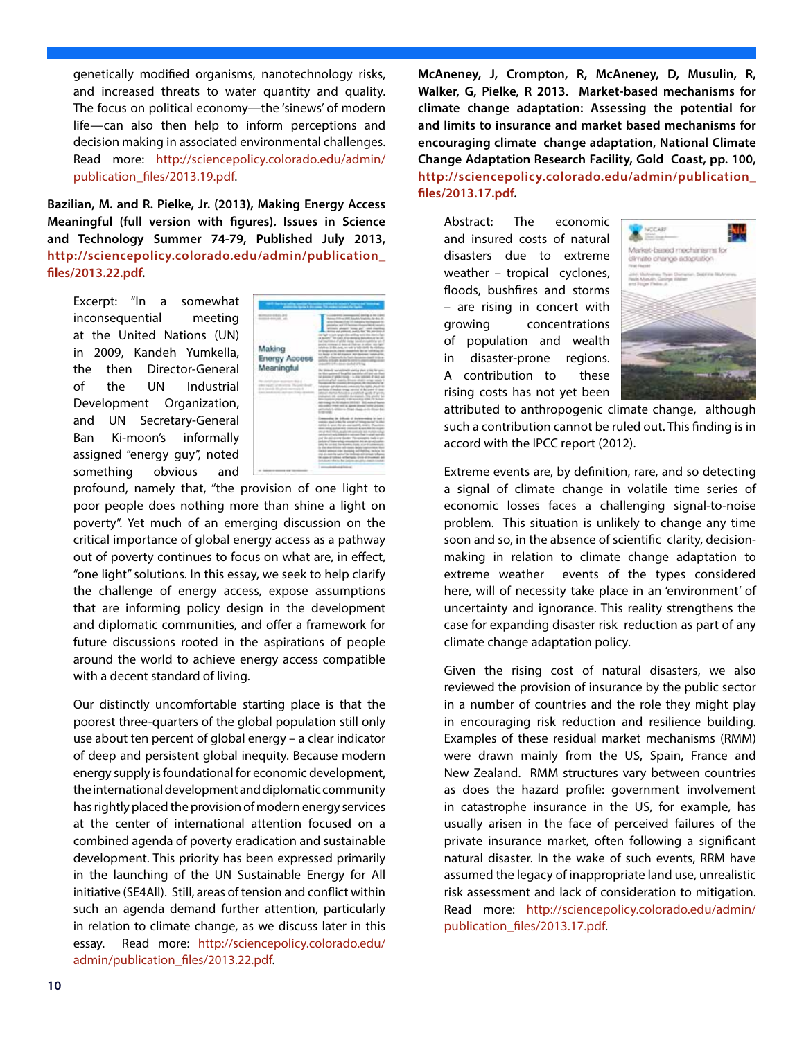genetically modified organisms, nanotechnology risks, and increased threats to water quantity and quality. The focus on political economy—the 'sinews' of modern life—can also then help to inform perceptions and decision making in associated environmental challenges. Read more: http://sciencepolicy.colorado.edu/admin/ publication\_files/2013.19.pdf.

**Bazilian, M. and R. Pielke, Jr. (2013), Making Energy Access Meaningful (full version with figures). Issues in Science and Technology Summer 74-79, Published July 2013, http://sciencepolicy.colorado.edu/admin/publication\_ files/2013.22.pdf.**

Excerpt: "In a somewhat inconsequential meeting at the United Nations (UN) in 2009, Kandeh Yumkella, the then Director-General of the UN Industrial Development Organization, and UN Secretary-General Ban Ki-moon's informally assigned "energy guy", noted something obvious and



profound, namely that, "the provision of one light to poor people does nothing more than shine a light on poverty". Yet much of an emerging discussion on the critical importance of global energy access as a pathway out of poverty continues to focus on what are, in effect, "one light" solutions. In this essay, we seek to help clarify the challenge of energy access, expose assumptions that are informing policy design in the development and diplomatic communities, and offer a framework for future discussions rooted in the aspirations of people around the world to achieve energy access compatible with a decent standard of living.

Our distinctly uncomfortable starting place is that the poorest three-quarters of the global population still only use about ten percent of global energy – a clear indicator of deep and persistent global inequity. Because modern energy supply is foundational for economic development, the international development and diplomatic community has rightly placed the provision of modern energy services at the center of international attention focused on a combined agenda of poverty eradication and sustainable development. This priority has been expressed primarily in the launching of the UN Sustainable Energy for All initiative (SE4All). Still, areas of tension and conflict within such an agenda demand further attention, particularly in relation to climate change, as we discuss later in this essay. Read more: http://sciencepolicy.colorado.edu/ admin/publication\_files/2013.22.pdf.

**McAneney, J, Crompton, R, McAneney, D, Musulin, R, Walker, G, Pielke, R 2013. Market-based mechanisms for climate change adaptation: Assessing the potential for and limits to insurance and market based mechanisms for encouraging climate change adaptation, National Climate Change Adaptation Research Facility, Gold Coast, pp. 100, http://sciencepolicy.colorado.edu/admin/publication\_ files/2013.17.pdf.**

Abstract: The economic and insured costs of natural disasters due to extreme weather – tropical cyclones, floods, bushfires and storms – are rising in concert with growing concentrations of population and wealth in disaster-prone regions. A contribution to these rising costs has not yet been



attributed to anthropogenic climate change, although such a contribution cannot be ruled out. This finding is in accord with the IPCC report (2012).

Extreme events are, by definition, rare, and so detecting a signal of climate change in volatile time series of economic losses faces a challenging signal-to-noise problem. This situation is unlikely to change any time soon and so, in the absence of scientific clarity, decisionmaking in relation to climate change adaptation to extreme weather events of the types considered here, will of necessity take place in an 'environment' of uncertainty and ignorance. This reality strengthens the case for expanding disaster risk reduction as part of any climate change adaptation policy.

Given the rising cost of natural disasters, we also reviewed the provision of insurance by the public sector in a number of countries and the role they might play in encouraging risk reduction and resilience building. Examples of these residual market mechanisms (RMM) were drawn mainly from the US, Spain, France and New Zealand. RMM structures vary between countries as does the hazard profile: government involvement in catastrophe insurance in the US, for example, has usually arisen in the face of perceived failures of the private insurance market, often following a significant natural disaster. In the wake of such events, RRM have assumed the legacy of inappropriate land use, unrealistic risk assessment and lack of consideration to mitigation. Read more: http://sciencepolicy.colorado.edu/admin/ publication\_files/2013.17.pdf.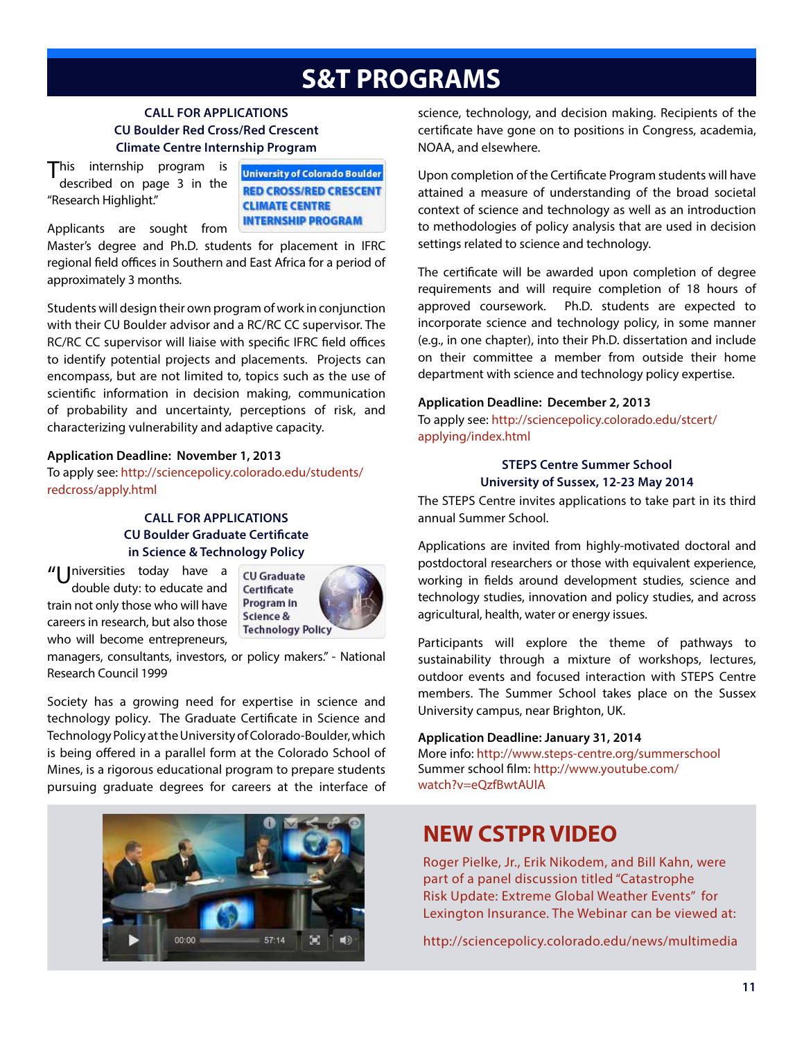# **S&T PROGRAMS**

#### **CALL FOR APPLICATIONS CU Boulder Red Cross/Red Crescent Climate Centre Internship Program**

This internship program is described on page 3 in the "Research Highlight."

**University of Colorado Boulder RED CROSS/RED CRESCENT CLIMATE CENTRE INTERNSHIP PROGRAM** 

Applicants are sought from Master's degree and Ph.D. students for placement in IFRC regional field offices in Southern and East Africa for a period of approximately 3 months.

Students will design their own program of work in conjunction with their CU Boulder advisor and a RC/RC CC supervisor. The RC/RC CC supervisor will liaise with specific IFRC field offices to identify potential projects and placements. Projects can encompass, but are not limited to, topics such as the use of scientific information in decision making, communication of probability and uncertainty, perceptions of risk, and characterizing vulnerability and adaptive capacity.

#### **Application Deadline: November 1, 2013**

To apply see: http://sciencepolicy.colorado.edu/students/ redcross/apply.html

#### **CALL FOR APPLICATIONS CU Boulder Graduate Certificate in Science & Technology Policy**

"| Iniversities today have a double duty: to educate and train not only those who will have careers in research, but also those who will become entrepreneurs,



managers, consultants, investors, or policy makers." - National Research Council 1999

Society has a growing need for expertise in science and technology policy. The Graduate Certificate in Science and Technology Policy at the University of Colorado-Boulder, which is being offered in a parallel form at the Colorado School of Mines, is a rigorous educational program to prepare students pursuing graduate degrees for careers at the interface of



science, technology, and decision making. Recipients of the certificate have gone on to positions in Congress, academia, NOAA, and elsewhere.

Upon completion of the Certificate Program students will have attained a measure of understanding of the broad societal context of science and technology as well as an introduction to methodologies of policy analysis that are used in decision settings related to science and technology.

The certificate will be awarded upon completion of degree requirements and will require completion of 18 hours of approved coursework. Ph.D. students are expected to incorporate science and technology policy, in some manner (e.g., in one chapter), into their Ph.D. dissertation and include on their committee a member from outside their home department with science and technology policy expertise.

#### **Application Deadline: December 2, 2013**

To apply see: http://sciencepolicy.colorado.edu/stcert/ applying/index.html

#### **STEPS Centre Summer School University of Sussex, 12-23 May 2014**

The STEPS Centre invites applications to take part in its third annual Summer School.

Applications are invited from highly-motivated doctoral and postdoctoral researchers or those with equivalent experience, working in fields around development studies, science and technology studies, innovation and policy studies, and across agricultural, health, water or energy issues.

Participants will explore the theme of pathways to sustainability through a mixture of workshops, lectures, outdoor events and focused interaction with STEPS Centre members. The Summer School takes place on the Sussex University campus, near Brighton, UK.

#### **Application Deadline: January 31, 2014**

More info: http://www.steps-centre.org/summerschool Summer school film: http://www.youtube.com/ watch?v=eQzfBwtAUlA

### **NEW CSTPR VIDEO**

Roger Pielke, Jr., Erik Nikodem, and Bill Kahn, were part of a panel discussion titled "Catastrophe Risk Update: Extreme Global Weather Events" for Lexington Insurance. The Webinar can be viewed at:

http://sciencepolicy.colorado.edu/news/multimedia